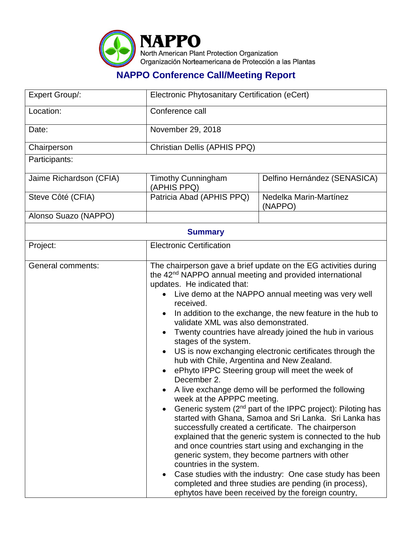

## **NAPPO Conference Call/Meeting Report**

| Expert Group/:           | Electronic Phytosanitary Certification (eCert)                                                                                                                                                                                                                                                                                                                                                                                                                                                                                                                                                                                                                                                                                                                                                                                                                                                                                                                                                                                                                                                                                                                                                                                                                                                               |                                   |  |  |
|--------------------------|--------------------------------------------------------------------------------------------------------------------------------------------------------------------------------------------------------------------------------------------------------------------------------------------------------------------------------------------------------------------------------------------------------------------------------------------------------------------------------------------------------------------------------------------------------------------------------------------------------------------------------------------------------------------------------------------------------------------------------------------------------------------------------------------------------------------------------------------------------------------------------------------------------------------------------------------------------------------------------------------------------------------------------------------------------------------------------------------------------------------------------------------------------------------------------------------------------------------------------------------------------------------------------------------------------------|-----------------------------------|--|--|
| Location:                | Conference call                                                                                                                                                                                                                                                                                                                                                                                                                                                                                                                                                                                                                                                                                                                                                                                                                                                                                                                                                                                                                                                                                                                                                                                                                                                                                              |                                   |  |  |
| Date:                    | November 29, 2018                                                                                                                                                                                                                                                                                                                                                                                                                                                                                                                                                                                                                                                                                                                                                                                                                                                                                                                                                                                                                                                                                                                                                                                                                                                                                            |                                   |  |  |
| Chairperson              | Christian Dellis (APHIS PPQ)                                                                                                                                                                                                                                                                                                                                                                                                                                                                                                                                                                                                                                                                                                                                                                                                                                                                                                                                                                                                                                                                                                                                                                                                                                                                                 |                                   |  |  |
| Participants:            |                                                                                                                                                                                                                                                                                                                                                                                                                                                                                                                                                                                                                                                                                                                                                                                                                                                                                                                                                                                                                                                                                                                                                                                                                                                                                                              |                                   |  |  |
| Jaime Richardson (CFIA)  | <b>Timothy Cunningham</b><br>(APHIS PPQ)                                                                                                                                                                                                                                                                                                                                                                                                                                                                                                                                                                                                                                                                                                                                                                                                                                                                                                                                                                                                                                                                                                                                                                                                                                                                     | Delfino Hernández (SENASICA)      |  |  |
| Steve Côté (CFIA)        | Patricia Abad (APHIS PPQ)                                                                                                                                                                                                                                                                                                                                                                                                                                                                                                                                                                                                                                                                                                                                                                                                                                                                                                                                                                                                                                                                                                                                                                                                                                                                                    | Nedelka Marin-Martínez<br>(NAPPO) |  |  |
| Alonso Suazo (NAPPO)     |                                                                                                                                                                                                                                                                                                                                                                                                                                                                                                                                                                                                                                                                                                                                                                                                                                                                                                                                                                                                                                                                                                                                                                                                                                                                                                              |                                   |  |  |
| <b>Summary</b>           |                                                                                                                                                                                                                                                                                                                                                                                                                                                                                                                                                                                                                                                                                                                                                                                                                                                                                                                                                                                                                                                                                                                                                                                                                                                                                                              |                                   |  |  |
| Project:                 | <b>Electronic Certification</b>                                                                                                                                                                                                                                                                                                                                                                                                                                                                                                                                                                                                                                                                                                                                                                                                                                                                                                                                                                                                                                                                                                                                                                                                                                                                              |                                   |  |  |
| <b>General comments:</b> | The chairperson gave a brief update on the EG activities during<br>the 42 <sup>nd</sup> NAPPO annual meeting and provided international<br>updates. He indicated that:<br>Live demo at the NAPPO annual meeting was very well<br>received.<br>In addition to the exchange, the new feature in the hub to<br>$\bullet$<br>validate XML was also demonstrated.<br>Twenty countries have already joined the hub in various<br>$\bullet$<br>stages of the system.<br>US is now exchanging electronic certificates through the<br>hub with Chile, Argentina and New Zealand.<br>ePhyto IPPC Steering group will meet the week of<br>December 2.<br>• A live exchange demo will be performed the following<br>week at the APPPC meeting.<br>Generic system (2 <sup>nd</sup> part of the IPPC project): Piloting has<br>started with Ghana, Samoa and Sri Lanka. Sri Lanka has<br>successfully created a certificate. The chairperson<br>explained that the generic system is connected to the hub<br>and once countries start using and exchanging in the<br>generic system, they become partners with other<br>countries in the system.<br>Case studies with the industry: One case study has been<br>completed and three studies are pending (in process),<br>ephytos have been received by the foreign country, |                                   |  |  |